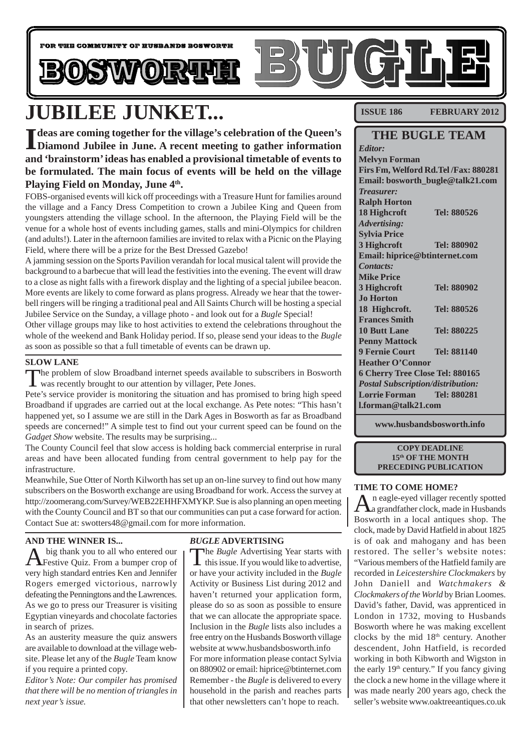

# **JUBILEE JUNKET...**

I deas are coming together for the village's celebration of the Queen's<br>
Diamond Jubilee in June. A recent meeting to gather information **deas are coming together for the village's celebration of the Queen's and 'brainstorm' ideas has enabled a provisional timetable of events to be formulated. The main focus of events will be held on the village** Playing Field on Monday, June 4<sup>th</sup>.

FOBS-organised events will kick off proceedings with a Treasure Hunt for families around the village and a Fancy Dress Competition to crown a Jubilee King and Queen from youngsters attending the village school. In the afternoon, the Playing Field will be the venue for a whole host of events including games, stalls and mini-Olympics for children (and adults!). Later in the afternoon families are invited to relax with a Picnic on the Playing Field, where there will be a prize for the Best Dressed Gazebo!

A jamming session on the Sports Pavilion verandah for local musical talent will provide the background to a barbecue that will lead the festivities into the evening. The event will draw to a close as night falls with a firework display and the lighting of a special jubilee beacon. More events are likely to come forward as plans progress. Already we hear that the towerbell ringers will be ringing a traditional peal and All Saints Church will be hosting a special Jubilee Service on the Sunday, a village photo - and look out for a *Bugle* Special!

Other village groups may like to host activities to extend the celebrations throughout the whole of the weekend and Bank Holiday period. If so, please send your ideas to the *Bugle* as soon as possible so that a full timetable of events can be drawn up.

#### **SLOW LANE**

The problem of slow Broadband internet speeds available to subscribers in Bosworth **L** was recently brought to our attention by villager, Pete Jones.

Pete's service provider is monitoring the situation and has promised to bring high speed Broadband if upgrades are carried out at the local exchange. As Pete notes: "This hasn't happened yet, so I assume we are still in the Dark Ages in Bosworth as far as Broadband speeds are concerned!" A simple test to find out your current speed can be found on the *Gadget Show* website. The results may be surprising...

The County Council feel that slow access is holding back commercial enterprise in rural areas and have been allocated funding from central government to help pay for the infrastructure.

Meanwhile, Sue Otter of North Kilworth has set up an on-line survey to find out how many subscribers on the Bosworth exchange are using Broadband for work. Access the survey at http://zoomerang.com/Survey/WEB22EHHFXMYKP. Sue is also planning an open meeting with the County Council and BT so that our communities can put a case forward for action. Contact Sue at: swotters48@gmail.com for more information.

#### **AND THE WINNER IS...**

A big thank you to all who entered our Festive Quiz. From a bumper crop of very high standard entries Ken and Jennifer Rogers emerged victorious, narrowly defeating the Penningtons and the Lawrences. As we go to press our Treasurer is visiting Egyptian vineyards and chocolate factories in search of prizes.

As an austerity measure the quiz answers are available to download at the village website. Please let any of the *Bugle* Team know if you require a printed copy.

*Editor's Note: Our compiler has promised that there will be no mention of triangles in next year's issue.*

#### *BUGLE* **ADVERTISING**

The *Bugle* Advertising Year starts with this issue. If you would like to advertise, or have your activity included in the *Bugle* Activity or Business List during 2012 and haven't returned your application form, please do so as soon as possible to ensure that we can allocate the appropriate space. Inclusion in the *Bugle* lists also includes a free entry on the Husbands Bosworth village website at www.husbandsbosworth.info For more information please contact Sylvia on 880902 or email: hiprice@btinternet.com Remember - the *Bugle* is delivered to every household in the parish and reaches parts that other newsletters can't hope to reach.

**ISSUE 186 FEBRUARY 2012** 

## **THE BUGLE TEAM**

*Editor:* **Melvyn Forman Firs Fm, Welford Rd.Tel /Fax: 880281 Email: bosworth\_bugle@talk21.com** *Treasurer:* **Ralph Horton 18 Highcroft Tel: 880526** *Advertising:* **Sylvia Price 3 Highcroft Tel: 880902 Email: hiprice@btinternet.com** *Contacts:* **Mike Price 3 Highcroft Tel: 880902 Jo Horton 18 Highcroft. Tel: 880526 Frances Smith 10 Butt Lane Tel: 880225 Penny Mattock 9 Fernie Court Tel: 881140 Heather O'Connor 6 Cherry Tree Close Tel: 880165** *Postal Subscription/distribution:* **Lorrie Forman Tel: 880281 l.forman@talk21.com**

**www.husbandsbosworth.info**

**COPY DEADLINE 15th OF THE MONTH PRECEDING PUBLICATION**

#### **TIME TO COME HOME?**

 $\mathbf{A}$ n eagle-eyed villager recently spotted<br>a grandfather clock, made in Husbands Bosworth in a local antiques shop. The clock, made by David Hatfield in about 1825 is of oak and mahogany and has been restored. The seller's website notes: "Various members of the Hatfield family are recorded in *Leicestershire Clockmakers* by John Daniell and *Watchmakers & Clockmakers of the World* by Brian Loomes. David's father, David, was apprenticed in London in 1732, moving to Husbands Bosworth where he was making excellent clocks by the mid 18th century. Another descendent, John Hatfield, is recorded working in both Kibworth and Wigston in the early  $19<sup>th</sup>$  century." If you fancy giving the clock a new home in the village where it was made nearly 200 years ago, check the seller's website www.oaktreeantiques.co.uk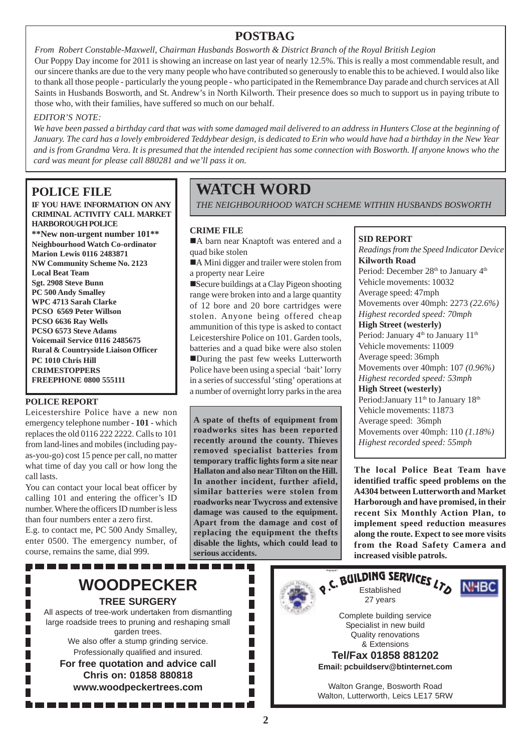# **POSTBAG**

*From Robert Constable-Maxwell, Chairman Husbands Bosworth & District Branch of the Royal British Legion* Our Poppy Day income for 2011 is showing an increase on last year of nearly 12.5%. This is really a most commendable result, and our sincere thanks are due to the very many people who have contributed so generously to enable this to be achieved. I would also like to thank all those people - particularly the young people - who participated in the Remembrance Day parade and church services at All Saints in Husbands Bosworth, and St. Andrew's in North Kilworth. Their presence does so much to support us in paying tribute to those who, with their families, have suffered so much on our behalf.

#### *EDITOR'S NOTE:*

*We have been passed a birthday card that was with some damaged mail delivered to an address in Hunters Close at the beginning of January. The card has a lovely embroidered Teddybear design, is dedicated to Erin who would have had a birthday in the New Year and is from Grandma Vera. It is presumed that the intended recipient has some connection with Bosworth. If anyone knows who the card was meant for please call 880281 and we'll pass it on.*

# **POLICE FILE**

**IF YOU HAVE INFORMATION ON ANY CRIMINAL ACTIVITY CALL MARKET HARBOROUGH POLICE \*\*New non-urgent number 101\*\* Neighbourhood Watch Co-ordinator Marion Lewis 0116 2483871**

**NW Community Scheme No. 2123 Local Beat Team Sgt. 2908 Steve Bunn PC 500 Andy Smalley WPC 4713 Sarah Clarke PCSO 6569 Peter Willson PCSO 6636 Ray Wells PCSO 6573 Steve Adams Voicemail Service 0116 2485675 Rural & Countryside Liaison Officer PC 1010 Chris Hill CRIMESTOPPERS FREEPHONE 0800 555111**

#### **POLICE REPORT**

Leicestershire Police have a new non emergency telephone number - **101** - which replaces the old 0116 222 2222. Calls to 101 from land-lines and mobiles (including payas-you-go) cost 15 pence per call, no matter what time of day you call or how long the call lasts.

You can contact your local beat officer by calling 101 and entering the officer's ID number. Where the officers ID number is less than four numbers enter a zero first.

E.g. to contact me, PC 500 Andy Smalley, enter 0500. The emergency number, of course, remains the same, dial 999.

# **WATCH WORD**

*THE NEIGHBOURHOOD WATCH SCHEME WITHIN HUSBANDS BOSWORTH*

#### **CRIME FILE**

A barn near Knaptoft was entered and a quad bike stolen

!A Mini digger and trailer were stolen from a property near Leire

!Secure buildings at a Clay Pigeon shooting range were broken into and a large quantity of 12 bore and 20 bore cartridges were stolen. Anyone being offered cheap ammunition of this type is asked to contact Leicestershire Police on 101. Garden tools, batteries and a quad bike were also stolen !During the past few weeks Lutterworth Police have been using a special 'bait' lorry in a series of successful 'sting' operations at a number of overnight lorry parks in the area

**A spate of thefts of equipment from roadworks sites has been reported recently around the county. Thieves removed specialist batteries from temporary traffic lights form a site near Hallaton and also near Tilton on the Hill. In another incident, further afield, similar batteries were stolen from roadworks near Twycross and extensive damage was caused to the equipment. Apart from the damage and cost of replacing the equipment the thefts disable the lights, which could lead to serious accidents.**

> П П H  $\Box$

### **SID REPORT**

*Readings from the Speed Indicator Device* **Kilworth Road** Period: December 28<sup>th</sup> to January 4<sup>th</sup> Vehicle movements: 10032 Average speed: 47mph Movements over 40mph: 2273 *(22.6%) Highest recorded speed: 70mph* **High Street (westerly)** Period: January 4<sup>th</sup> to January 11<sup>th</sup> Vehicle movements: 11009 Average speed: 36mph Movements over 40mph: 107 *(0.96%) Highest recorded speed: 53mph* **High Street (westerly)** Period: January 11<sup>th</sup> to January 18<sup>th</sup> Vehicle movements: 11873 Average speed: 36mph Movements over 40mph: 110 *(1.18%) Highest recorded speed: 55mph*

**The local Police Beat Team have identified traffic speed problems on the A4304 between Lutterworth and Market Harborough and have promised, in their recent Six Monthly Action Plan, to implement speed reduction measures along the route. Expect to see more visits from the Road Safety Camera and increased visible patrols.**



------------------

large roadside trees to pruning and reshaping small garden trees. We also offer a stump grinding service. Professionally qualified and insured. **For free quotation and advice call Chris on: 01858 880818 www.woodpeckertrees.com**

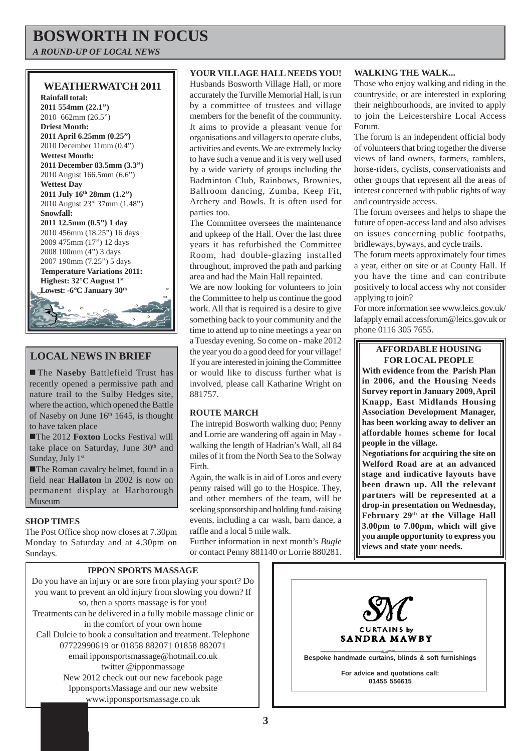# **BOSWORTH IN FOCUS**

*A ROUND-UP OF LOCAL NEWS*

## **WEATHERWATCH 2011**



# **LOCAL NEWS IN BRIEF**

! The **Naseby** Battlefield Trust has recently opened a permissive path and nature trail to the Sulby Hedges site, where the action, which opened the Battle of Naseby on June  $16<sup>th</sup> 1645$ , is thought to have taken place

**The 2012 Foxton Locks Festival will** take place on Saturday, June 30<sup>th</sup> and Sunday, July 1st

**The Roman cavalry helmet, found in a** field near **Hallaton** in 2002 is now on permanent display at Harborough Museum

#### **SHOP TIMES**

The Post Office shop now closes at 7.30pm Monday to Saturday and at 4.30pm on Sundays.

#### **YOUR VILLAGE HALL NEEDS YOU!**

Husbands Bosworth Village Hall, or more accurately the Turville Memorial Hall, is run by a committee of trustees and village members for the benefit of the community. It aims to provide a pleasant venue for organisations and villagers to operate clubs, activities and events. We are extremely lucky to have such a venue and it is very well used by a wide variety of groups including the Badminton Club, Rainbows, Brownies, Ballroom dancing, Zumba, Keep Fit, Archery and Bowls. It is often used for parties too.

The Committee oversees the maintenance and upkeep of the Hall. Over the last three years it has refurbished the Committee Room, had double-glazing installed throughout, improved the path and parking area and had the Main Hall repainted.

We are now looking for volunteers to join the Committee to help us continue the good work. All that is required is a desire to give something back to your community and the time to attend up to nine meetings a year on a Tuesday evening. So come on - make 2012 the year you do a good deed for your village! If you are interested in joining the Committee or would like to discuss further what is involved, please call Katharine Wright on 881757.

#### **ROUTE MARCH**

The intrepid Bosworth walking duo; Penny and Lorrie are wandering off again in May walking the length of Hadrian's Wall, all 84 miles of it from the North Sea to the Solway Firth.

Again, the walk is in aid of Loros and every penny raised will go to the Hospice. They, and other members of the team, will be seeking sponsorship and holding fund-raising events, including a car wash, barn dance, a raffle and a local 5 mile walk.

Further information in next month's *Bugle* or contact Penny 881140 or Lorrie 880281.

#### **WALKING THE WALK...**

Those who enjoy walking and riding in the countryside, or are interested in exploring their neighbourhoods, are invited to apply to join the Leicestershire Local Access Forum.

The forum is an independent official body of volunteers that bring together the diverse views of land owners, farmers, ramblers, horse-riders, cyclists, conservationists and other groups that represent all the areas of interest concerned with public rights of way and countryside access.

The forum oversees and helps to shape the future of open-access land and also advises on issues concerning public footpaths, bridleways, byways, and cycle trails.

The forum meets approximately four times a year, either on site or at County Hall. If you have the time and can contribute positively to local access why not consider applying to join?

For more information see www.leics.gov.uk/ lafapply email accessforum@leics.gov.uk or phone 0116 305 7655.

#### **AFFORDABLE HOUSING FOR LOCAL PEOPLE**

**With evidence from the Parish Plan in 2006, and the Housing Needs Survey report in January 2009, April Knapp, East Midlands Housing Association Development Manager, has been working away to deliver an affordable homes scheme for local people in the village.**

**Negotiations for acquiring the site on Welford Road are at an advanced stage and indicative layouts have been drawn up. All the relevant partners will be represented at a drop-in presentation on Wednesday, February 29th at the Village Hall 3.00pm to 7.00pm, which will give you ample opportunity to express you views and state your needs.**

### **IPPON SPORTS MASSAGE**

Do you have an injury or are sore from playing your sport? Do you want to prevent an old injury from slowing you down? If so, then a sports massage is for you! Treatments can be delivered in a fully mobile massage clinic or in the comfort of your own home Call Dulcie to book a consultation and treatment. Telephone 07722990619 or 01858 882071 01858 882071 email ipponsportsmassage@hotmail.co.uk twitter @ipponmassage New 2012 check out our new facebook page IpponsportsMassage and our new website www.ipponsportsmassage.co.uk

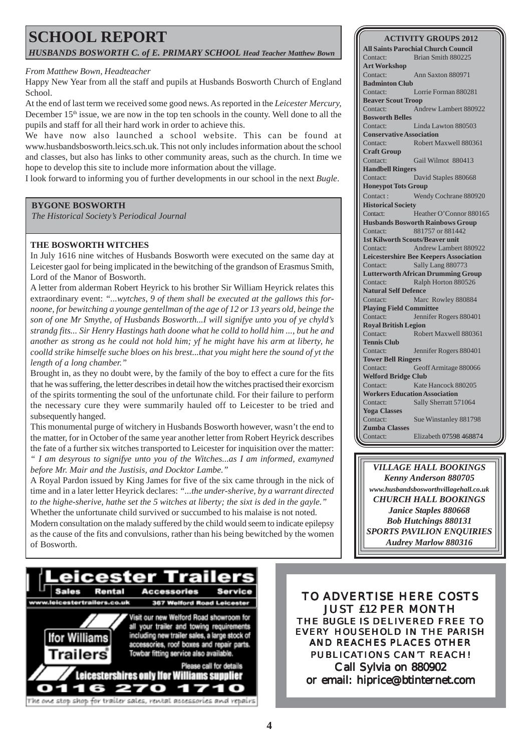# **SCHOOL REPORT** *HUSBANDS BOSWORTH C. of E. PRIMARY SCHOOL Head Teacher Matthew Bown*

#### *From Matthew Bown, Headteacher*

Happy New Year from all the staff and pupils at Husbands Bosworth Church of England School.

At the end of last term we received some good news. As reported in the *Leicester Mercury,* December  $15<sup>th</sup>$  issue, we are now in the top ten schools in the county. Well done to all the pupils and staff for all their hard work in order to achieve this.

We have now also launched a school website. This can be found at www.husbandsbosworth.leics.sch.uk. This not only includes information about the school and classes, but also has links to other community areas, such as the church. In time we hope to develop this site to include more information about the village.

I look forward to informing you of further developments in our school in the next *Bugle*.

#### **BYGONE BOSWORTH**

*The Historical Society's Periodical Journal*

#### **THE BOSWORTH WITCHES**

In July 1616 nine witches of Husbands Bosworth were executed on the same day at Leicester gaol for being implicated in the bewitching of the grandson of Erasmus Smith, Lord of the Manor of Bosworth.

A letter from alderman Robert Heyrick to his brother Sir William Heyrick relates this extraordinary event: *"...wytches, 9 of them shall be executed at the gallows this fornoone, for bewitching a younge gentellman of the age of 12 or 13 years old, beinge the son of one Mr Smythe, of Husbands Bosworth...I will signifye unto you of ye chyld's strandg fits... Sir Henry Hastings hath doone what he colld to holld him ..., but he and another as strong as he could not hold him; yf he might have his arm at liberty, he coolld strike himselfe suche bloes on his brest...that you might here the sound of yt the length of a long chamber."*

Brought in, as they no doubt were, by the family of the boy to effect a cure for the fits that he was suffering, the letter describes in detail how the witches practised their exorcism of the spirits tormenting the soul of the unfortunate child. For their failure to perform the necessary cure they were summarily hauled off to Leicester to be tried and subsequently hanged.

This monumental purge of witchery in Husbands Bosworth however, wasn't the end to the matter, for in October of the same year another letter from Robert Heyrick describes the fate of a further six witches transported to Leicester for inquisition over the matter: *" I am desyrous to signifye unto you of the Witches...as I am informed, examyned before Mr. Mair and the Justisis, and Docktor Lambe."*

A Royal Pardon issued by King James for five of the six came through in the nick of time and in a later letter Heyrick declares: *"...the under-sherive, by a warrant directed to the highe-sherive, hathe set the 5 witches at liberty; the sixt is ded in the gayle."* Whether the unfortunate child survived or succumbed to his malaise is not noted. Modern consultation on the malady suffered by the child would seem to indicate epilepsy as the cause of the fits and convulsions, rather than his being bewitched by the women of Bosworth.

#### **ACTIVITY GROUPS 2012**

**All Saints Parochial Church Council** Contact: Brian Smith 880225 **Art Workshop** Contact: Ann Saxton 880971 **Badminton Club** Contact: Lorrie Forman 880281 **Beaver Scout Troop** Contact: Andrew Lambert 880922 **Bosworth Belles** Contact: Linda Lawton 880503 **Conservative Association** Contact: Robert Maxwell 880361 **Craft Group** Contact: Gail Wilmot 880413 **Handbell Ringers** Contact: David Staples 880668 **Honeypot Tots Group** Contact : Wendy Cochrane 880920 **Historical Society** Contact: Heather O'Connor 880165 **Husbands Bosworth Rainbows Group** Contact: 881757 or 881442 **1st Kilworth Scouts/Beaver unit** Contact: Andrew Lambert 880922 **Leicestershire Bee Keepers Association** Contact: Sally Lang 880773 **Lutterworth African Drumming Group** Contact: Ralph Horton 880526 **Natural Self Defence** Contact: Marc Rowley 880884 **Playing Field Committee** Contact: Jennifer Rogers 880401 **Royal British Legion** Contact: Robert Maxwell 880361 **Tennis Club** Contact: Jennifer Rogers 880401 **Tower Bell Ringers** Contact: Geoff Armitage 880066 **Welford Bridge Club** Contact: Kate Hancock 880205 **Workers Education Association** Contact: Sally Sherratt 571064 **Yoga Classes** Contact: Sue Winstanley 881798 **Zumba Classes** Contact: Elizabeth 07598 468874

*VILLAGE HALL BOOKINGS Kenny Anderson 880705 www.husbandsbosworthvillagehall.co.uk CHURCH HALL BOOKINGS Janice Staples 880668 Bob Hutchings 880131 SPORTS PAVILION ENQUIRIES Audrey Marlow 880316*



TO ADVERTISE HERE COSTS JUST £12 PER MONTH THE *BUGLE* IS DELIVERED FREE TO EVERY HOUSEHOLD IN THE PARISH AND REACHES PLACES OTHER PUBLICATIONS CAN'T REACH! Call Sylvia on 880902 or email: hiprice@btinternet.com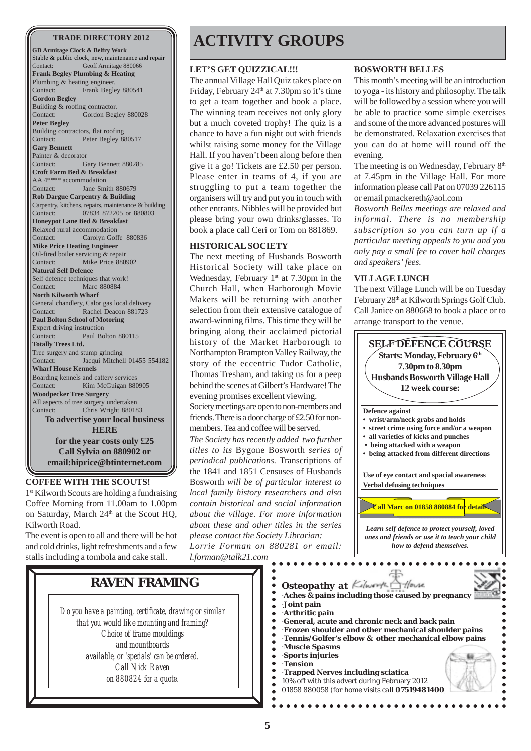**GD Armitage Clock & Belfry Work** Stable & public clock, new, maintenance and repair Contact: Geoff Armitage 880066 **Frank Begley Plumbing & Heating** Plumbing & heating engineer. Contact: Frank Begley 880541 **Gordon Begley** Building & roofing contractor. Contact: Gordon Begley 880028 **Peter Begley** Building contractors, flat roofing Contact: Peter Begley 880517 **Gary Bennett** Painter & decorator Contact: Gary Bennett 880285 **Croft Farm Bed & Breakfast** AA 4\*\*\*\* accommodation Contact: Jane Smith 880679 **Rob Dargue Carpentry & Building** Carpentry, kitchens, repairs, maintenance & building Contact: 07834 872205 or 880803 **Honeypot Lane Bed & Breakfast** Relaxed rural accommodation Contact: Carolyn Goffe 880836 **Mike Price Heating Engineer** Oil-fired boiler servicing & repair Contact: Mike Price 880902 **Natural Self Defence** Self defence techniques that work! Contact: Marc 880884 **North Kilworth Wharf** General chandlery, Calor gas local delivery Contact: Rachel Deacon 881723 **Paul Bolton School of Motoring** Expert driving instruction<br>Contact: Paul Bo Paul Bolton 880115 **Totally Trees Ltd.** Tree surgery and stump grinding Contact: Jacqui Mitchell 01455 554182 **Wharf House Kennels** Boarding kennels and cattery services Contact: Kim McGuigan 880905 **Woodpecker Tree Surgery** All aspects of tree surgery undertaken Contact: Chris Wright 880183 **To advertise your local business HERE for the year costs only £25 Call Sylvia on 880902 or email:hiprice@btinternet.com**

**COFFEE WITH THE SCOUTS!**

1<sup>st</sup> Kilworth Scouts are holding a fundraising Coffee Morning from 11.00am to 1.00pm on Saturday, March  $24<sup>th</sup>$  at the Scout HO, Kilworth Road.

The event is open to all and there will be hot and cold drinks, light refreshments and a few stalls including a tombola and cake stall.

# **TRADE DIRECTORY 2012 | ACTIVITY GROUPS**

#### **LET'S GET QUIZZICAL!!!**

The annual Village Hall Quiz takes place on Friday, February 24<sup>th</sup> at 7.30pm so it's time to get a team together and book a place. The winning team receives not only glory but a much coveted trophy! The quiz is a chance to have a fun night out with friends whilst raising some money for the Village Hall. If you haven't been along before then give it a go! Tickets are £2.50 per person. Please enter in teams of 4, if you are struggling to put a team together the organisers will try and put you in touch with other entrants. Nibbles will be provided but please bring your own drinks/glasses. To book a place call Ceri or Tom on 881869.

#### **HISTORICAL SOCIETY**

The next meeting of Husbands Bosworth Historical Society will take place on Wednesday, February  $1^{st}$  at 7.30pm in the Church Hall, when Harborough Movie Makers will be returning with another selection from their extensive catalogue of award-winning films. This time they will be bringing along their acclaimed pictorial history of the Market Harborough to Northampton Brampton Valley Railway, the story of the eccentric Tudor Catholic, Thomas Tresham, and taking us for a peep behind the scenes at Gilbert's Hardware! The evening promises excellent viewing. Society meetings are open to non-members and friends. There is a door charge of £2.50 for nonmembers. Tea and coffee will be served. *The Society has recently added two further titles to its* Bygone Bosworth *series of periodical publications.* Transcriptions of the 1841 and 1851 Censuses of Husbands Bosworth *will be of particular interest to local family history researchers and also contain historical and social information about the village. For more information about these and other titles in the series please contact the Society Librarian: Lorrie Forman on 880281 or email: l.forman@talk21.com*

#### **BOSWORTH BELLES**

This month's meeting will be an introduction to yoga - its history and philosophy. The talk will be followed by a session where you will be able to practice some simple exercises and some of the more advanced postures will be demonstrated. Relaxation exercises that you can do at home will round off the evening.

The meeting is on Wednesday, February 8<sup>th</sup> at 7.45pm in the Village Hall. For more information please call Pat on 07039 226115 or email pmackereth@aol.com

*Bosworth Belles meetings are relaxed and informal. There is no membership subscription so you can turn up if a particular meeting appeals to you and you only pay a small fee to cover hall charges and speakers' fees.*

#### **VILLAGE LUNCH**

The next Village Lunch will be on Tuesday February 28<sup>th</sup> at Kilworth Springs Golf Club. Call Janice on 880668 to book a place or to arrange transport to the venue.



**RAVEN FRAMING**

*Do you have a painting, certificate, drawing or similar that you would like mounting and framing? Choice of frame mouldings and mountboards available, or 'specials' can be ordered. Call Nick Raven on 880824 for a quote.*

10% off with this advert during February 2012 01858 880058 *(for home visits call 07519481400)*

. . . . . . . . . . . .

·**Joint pain**

 $\bullet$  $\bullet$  $\bullet$  $\bullet$  $\bullet$  $\bullet$  $\bullet$  $\ddot{\bullet}$  $\bullet$  $\bullet$  $\bullet$  $\bullet$  $\bullet$  $\ddot{\bullet}$ 

·**Tension**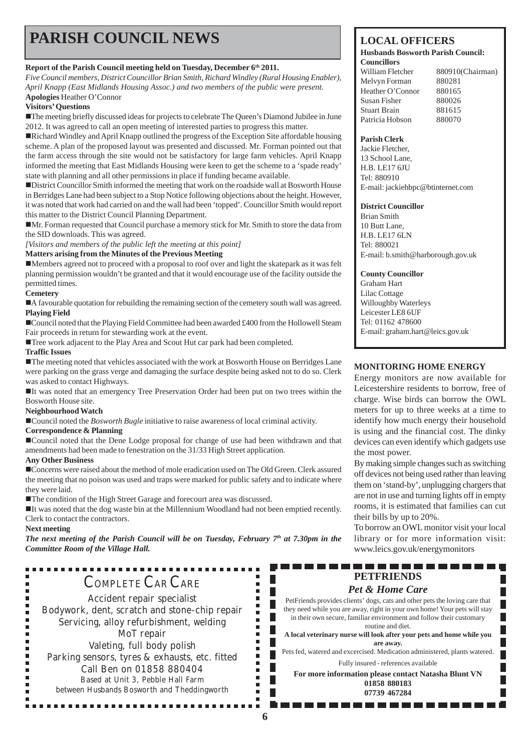# **PARISH COUNCIL NEWS** LOCAL OFFICERS

#### Report of the Parish Council meeting held on Tuesday, December 6<sup>th</sup> 2011.

*Five Council members, District Councillor Brian Smith, Richard Windley (Rural Housing Enabler), April Knapp (East Midlands Housing Assoc.) and two members of the public were present.* **Apologies** Heather O'Connor

#### **Visitors' Questions**

!The meeting briefly discussed ideas for projects to celebrate The Queen's Diamond Jubilee in June 2012. It was agreed to call an open meeting of interested parties to progress this matter.

!Richard Windley and April Knapp outlined the progress of the Exception Site affordable housing scheme. A plan of the proposed layout was presented and discussed. Mr. Forman pointed out that the farm access through the site would not be satisfactory for large farm vehicles. April Knapp informed the meeting that East Midlands Housing were keen to get the scheme to a 'spade ready' state with planning and all other permissions in place if funding became available.

!District Councillor Smith informed the meeting that work on the roadside wall at Bosworth House in Berridges Lane had been subject to a Stop Notice following objections about the height. However, it was noted that work had carried on and the wall had been 'topped'. Councillor Smith would report this matter to the District Council Planning Department.

!Mr. Forman requested that Council purchase a memory stick for Mr. Smith to store the data from the SID downloads. This was agreed.

*[Visitors and members of the public left the meeting at this point]*

#### **Matters arising from the Minutes of the Previous Meeting**

!Members agreed not to proceed with a proposal to roof over and light the skatepark as it was felt planning permission wouldn't be granted and that it would encourage use of the facility outside the permitted times.

#### **Cemetery**

!A favourable quotation for rebuilding the remaining section of the cemetery south wall was agreed. **Playing Field**

!Council noted that the Playing Field Committee had been awarded £400 from the Hollowell Steam Fair proceeds in return for stewarding work at the event.

!Tree work adjacent to the Play Area and Scout Hut car park had been completed.

#### **Traffic Issues**

!The meeting noted that vehicles associated with the work at Bosworth House on Berridges Lane were parking on the grass verge and damaging the surface despite being asked not to do so. Clerk was asked to contact Highways.

!It was noted that an emergency Tree Preservation Order had been put on two trees within the Bosworth House site.

#### **Neighbourhood Watch**

!Council noted the *Bosworth Bugle* initiative to raise awareness of local criminal activity.

#### **Correspondence & Planning**

!Council noted that the Dene Lodge proposal for change of use had been withdrawn and that amendments had been made to fenestration on the 31/33 High Street application.

#### **Any Other Business**

!Concerns were raised about the method of mole eradication used on The Old Green. Clerk assured the meeting that no poison was used and traps were marked for public safety and to indicate where they were laid.

!The condition of the High Street Garage and forecourt area was discussed.

!It was noted that the dog waste bin at the Millennium Woodland had not been emptied recently. Clerk to contact the contractors.

#### **Next meeting**

 $\blacksquare$ ٠

*The next meeting of the Parish Council will be on Tuesday, February 7th at 7.30pm in the Committee Room of the Village Hall.*

# . . . . . . . . . . COMPLETE CAR CARE

Accident repair specialist Bodywork, dent, scratch and stone-chip repair Servicing, alloy refurbishment, welding MoT repair Valeting, full body polish Parking sensors, tyres & exhausts, etc. fitted Call Ben on 01858 880404 Based at Unit 3, Pebble Hall Farm between Husbands Bosworth and Theddingworth

................

#### **Husbands Bosworth Parish Council: Councillors**

William Fletcher 880910(Chairman) Melvyn Forman 880281 Heather O'Connor 880165 Susan Fisher 880026 Stuart Brain 881615 Patricia Hobson 880070

#### **Parish Clerk**

Jackie Fletcher, 13 School Lane, H.B. LE17 6JU Tel: 880910 E-mail: jackiehbpc@btinternet.com

#### **District Councillor**

Brian Smith 10 Butt Lane, H.B. LE17 6LN Tel: 880021 E-mail: b.smith@harborough.gov.uk

#### **County Councillor**

Graham Hart Lilac Cottage Willoughby Waterleys Leicester LE8 6UF Tel: 01162 478600 E-mail: graham.hart@leics.gov.uk

#### **MONITORING HOME ENERGY**

Energy monitors are now available for Leicestershire residents to borrow, free of charge. Wise birds can borrow the OWL meters for up to three weeks at a time to identify how much energy their household is using and the financial cost. The dinky devices can even identify which gadgets use the most power.

By making simple changes such as switching off devices not being used rather than leaving them on 'stand-by', unplugging chargers that are not in use and turning lights off in empty rooms, it is estimated that families can cut their bills by up to 20%.

To borrow an OWL monitor visit your local library or for more information visit: www.leics.gov.uk/energymonitors

 $\blacksquare$ 

#### -----------------**PETFRIENDS**

#### *Pet & Home Care*

PetFriends provides clients' dogs, cats and other pets the loving care that they need while you are away, right in your own home! Your pets will stay in their own secure, familiar environment and follow their customary routine and diet.

**A local veterinary nurse will look after your pets and home while you are away.**

Pets fed, watered and excercised. Medication administered, plants watered. Fully insured - references available

**For more information please contact Natasha Blunt VN 01858 880183 07739 467284**

 $\blacksquare$ г  $\blacksquare$ × Г Г  $\blacksquare$ П

 $\blacksquare$  $\blacksquare$ П Ξ  $\blacksquare$ П × Г × г  $\blacksquare$  $\blacksquare$  $\blacksquare$  $\blacksquare$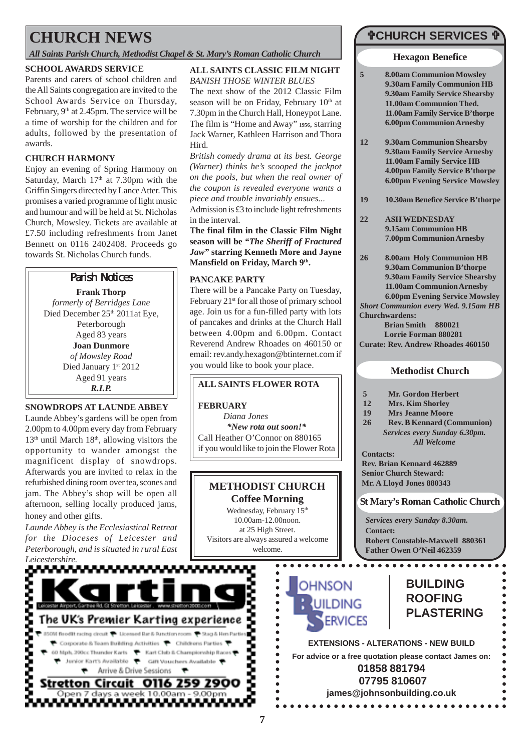# **CHURCH NEWS**

*All Saints Parish Church, Methodist Chapel & St. Mary's Roman Catholic Church*

#### **SCHOOL AWARDS SERVICE**

Parents and carers of school children and the All Saints congregation are invited to the School Awards Service on Thursday, February, 9<sup>th</sup> at 2.45pm. The service will be a time of worship for the children and for adults, followed by the presentation of awards.

### **CHURCH HARMONY**

Enjoy an evening of Spring Harmony on Saturday, March  $17<sup>th</sup>$  at 7.30pm with the Griffin Singers directed by Lance Atter. This promises a varied programme of light music and humour and will be held at St. Nicholas Church, Mowsley. Tickets are available at £7.50 including refreshments from Janet Bennett on 0116 2402408. Proceeds go towards St. Nicholas Church funds.

### Parish Notices

**Frank Thorp** *formerly of Berridges Lane* Died December 25<sup>th</sup> 2011at Eye, Peterborough Aged 83 years **Joan Dunmore** *of Mowsley Road* Died January 1st 2012 Aged 91 years *R.I.P.*

### **SNOWDROPS AT LAUNDE ABBEY**

Launde Abbey's gardens will be open from 2.00pm to 4.00pm every day from February  $13<sup>th</sup>$  until March  $18<sup>th</sup>$ , allowing visitors the opportunity to wander amongst the magnificent display of snowdrops. Afterwards you are invited to relax in the refurbished dining room over tea, scones and jam. The Abbey's shop will be open all afternoon, selling locally produced jams, honey and other gifts.

*Launde Abbey is the Ecclesiastical Retreat for the Dioceses of Leicester and Peterborough, and is situated in rural East Leicestershire.*

## **ALL SAINTS CLASSIC FILM NIGHT**

*BANISH THOSE WINTER BLUES* The next show of the 2012 Classic Film season will be on Friday, February  $10<sup>th</sup>$  at 7.30pm in the Church Hall, Honeypot Lane. The film is "Home and Away" **1956**, starring Jack Warner, Kathleen Harrison and Thora Hird.

*British comedy drama at its best. George (Warner) thinks he's scooped the jackpot on the pools, but when the real owner of the coupon is revealed everyone wants a piece and trouble invariably ensues...* Admission is £3 to include light refreshments in the interval.

**The final film in the Classic Film Night season will be** *"The Sheriff of Fractured Jaw"* **starring Kenneth More and Jayne** Mansfield on Friday, March 9<sup>th</sup>.

#### **PANCAKE PARTY**

There will be a Pancake Party on Tuesday, February 21<sup>st</sup> for all those of primary school age. Join us for a fun-filled party with lots of pancakes and drinks at the Church Hall between 4.00pm and 6.00pm. Contact Reverend Andrew Rhoades on 460150 or email: rev.andy.hexagon@btinternet.com if you would like to book your place.

### **ALL SAINTS FLOWER ROTA**

#### **FEBRUARY**

*Diana Jones \*New rota out soon!\** Call Heather O'Connor on 880165 if you would like to join the Flower Rota

# **METHODIST CHURCH**

**Coffee Morning** Wednesday, February 15<sup>th</sup> 10.00am-12.00noon. at 25 High Street. Visitors are always assured a welcome welcome.

> $\bullet$  $\bullet$

 $\bullet$ 

 $\bullet$ 

 $\ddot{\bullet}$  $\ddot{\bullet}$ 

 $\bullet$ 

 $\bullet$ 

**7**



# "**CHURCH SERVICES** "

#### **Hexagon Benefice**

- **5 8.00am Communion Mowsley 9.30am Family Communion HB 9.30am Family Service Shearsby 11.00am Communion Thed. 11.00am Family Service B'thorpe 6.00pm Communion Arnesby**
- **12 9.30am Communion Shearsby 9.30am Family Service Arnesby 11.00am Family Service HB 4.00pm Family Service B'thorpe 6.00pm Evening Service Mowsley**
- **19 10.30am Benefice Service B'thorpe**
- **22 ASH WEDNESDAY 9.15am Communion HB 7.00pm Communion Arnesby**
- **Churchwardens: 26 8.00am Holy Communion HB 9.30am Communion B'thorpe 9.30am Family Service Shearsby 11.00am Communion Arnesby 6.00pm Evening Service Mowsley** *Short Communion every Wed. 9.15am HB*

**Brian Smith 880021 Lorrie Forman 880281 Curate: Rev. Andrew Rhoades 460150**

### **Methodist Church**

- **5 Mr. Gordon Herbert**
- **12 Mrs. Kim Shorley**
- **19 Mrs Jeanne Moore**
- **26 Rev. B Kennard (Communion)** *Services every Sunday 6.30pm. All Welcome*
- **Contacts: Rev. Brian Kennard 462889 Senior Church Steward: Mr. A Lloyd Jones 880343**

. . . . . . . . . . . . . . . .

**St Mary's Roman Catholic Church**

*Services every Sunday 8.30am.* **Contact: Robert Constable-Maxwell 880361 Father Owen O'Neil 462359**



# **BUILDING ROOFING PLASTERING**

**EXTENSIONS - ALTERATIONS - NEW BUILD For advice or a free quotation please contact James on: 01858 881794 07795 810607**

**james@johnsonbuilding.co.uk**